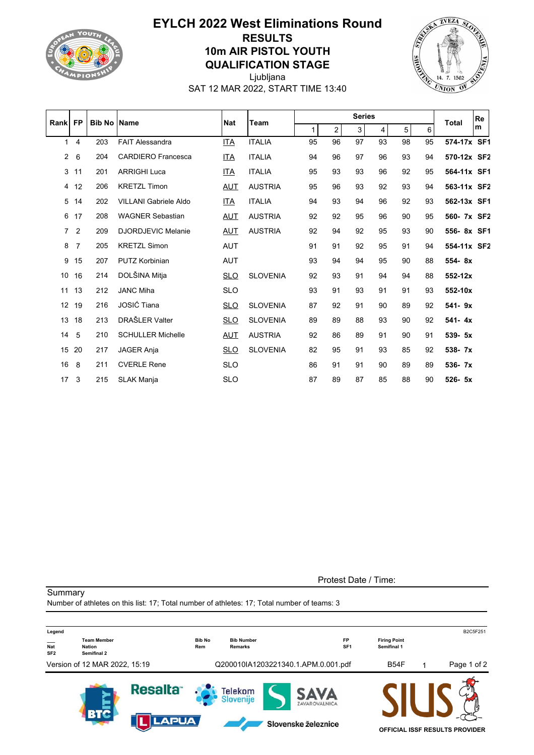

## **EYLCH 2022 West Eliminations Round RESULTS 10m AIR PISTOL YOUTH QUALIFICATION STAGE**



Ljubljana SAT 12 MAR 2022, START TIME 13:40

| Rankl           | <b>FP</b>      | <b>Bib No Name</b> |                              | <b>Nat</b> | <b>Team</b>     |    |                | <b>Series</b> |    |    |    | <b>Total</b> | Re |
|-----------------|----------------|--------------------|------------------------------|------------|-----------------|----|----------------|---------------|----|----|----|--------------|----|
|                 |                |                    |                              |            |                 | 1  | $\overline{2}$ | 3             | 4  | 5  | 6  |              | m  |
| 1               | $\overline{4}$ | 203                | <b>FAIT Alessandra</b>       | ITA        | <b>ITALIA</b>   | 95 | 96             | 97            | 93 | 98 | 95 | 574-17x SF1  |    |
| $\overline{2}$  | 6              | 204                | <b>CARDIERO Francesca</b>    | <u>ITA</u> | <b>ITALIA</b>   | 94 | 96             | 97            | 96 | 93 | 94 | 570-12x SF2  |    |
| 3               | 11             | 201                | <b>ARRIGHI Luca</b>          | ITA        | <b>ITALIA</b>   | 95 | 93             | 93            | 96 | 92 | 95 | 564-11x SF1  |    |
| 4               | 12             | 206                | <b>KRETZL Timon</b>          | <b>AUT</b> | <b>AUSTRIA</b>  | 95 | 96             | 93            | 92 | 93 | 94 | 563-11x SF2  |    |
| 5               | 14             | 202                | <b>VILLANI Gabriele Aldo</b> | <u>ITA</u> | <b>ITALIA</b>   | 94 | 93             | 94            | 96 | 92 | 93 | 562-13x SF1  |    |
| 6               | 17             | 208                | <b>WAGNER Sebastian</b>      | AUT        | <b>AUSTRIA</b>  | 92 | 92             | 95            | 96 | 90 | 95 | 560- 7x SF2  |    |
| $\overline{7}$  | $\overline{2}$ | 209                | <b>DJORDJEVIC Melanie</b>    | <u>AUT</u> | <b>AUSTRIA</b>  | 92 | 94             | 92            | 95 | 93 | 90 | 556-8x SF1   |    |
| 8               | $\overline{7}$ | 205                | <b>KRETZL Simon</b>          | <b>AUT</b> |                 | 91 | 91             | 92            | 95 | 91 | 94 | 554-11x SF2  |    |
| 9               | 15             | 207                | <b>PUTZ Korbinian</b>        | <b>AUT</b> |                 | 93 | 94             | 94            | 95 | 90 | 88 | 554-8x       |    |
| 10              | 16             | 214                | DOLŠINA Mitja                | <b>SLO</b> | <b>SLOVENIA</b> | 92 | 93             | 91            | 94 | 94 | 88 | 552-12x      |    |
| 11              | 13             | 212                | <b>JANC Miha</b>             | <b>SLO</b> |                 | 93 | 91             | 93            | 91 | 91 | 93 | 552-10x      |    |
| 12 <sup>2</sup> | 19             | 216                | JOSIĆ Tiana                  | <u>SLO</u> | <b>SLOVENIA</b> | 87 | 92             | 91            | 90 | 89 | 92 | 541-9x       |    |
| 13              | 18             | 213                | DRAŠLER Valter               | <b>SLO</b> | <b>SLOVENIA</b> | 89 | 89             | 88            | 93 | 90 | 92 | $541 - 4x$   |    |
| 14              | 5              | 210                | <b>SCHULLER Michelle</b>     | AUT        | <b>AUSTRIA</b>  | 92 | 86             | 89            | 91 | 90 | 91 | 539- 5x      |    |
| 15              | 20             | 217                | <b>JAGER Anja</b>            | <b>SLO</b> | <b>SLOVENIA</b> | 82 | 95             | 91            | 93 | 85 | 92 | 538-7x       |    |
| 16              | 8              | 211                | <b>CVERLE Rene</b>           | <b>SLO</b> |                 | 86 | 91             | 91            | 90 | 89 | 89 | $536 - 7x$   |    |
| 17              | 3              | 215                | <b>SLAK Manja</b>            | <b>SLO</b> |                 | 87 | 89             | 87            | 85 | 88 | 90 | $526 - 5x$   |    |

**Summary** 

Protest Date / Time:

Number of athletes on this list: 17; Total number of athletes: 17; Total number of teams: 3 **Legend** B2C5F251 **\_\_\_ Team Member Bib No Bib Number FP Firing Point SEP 1946**<br>
SF2 **Semifinal 2 Nat Nation Rem Remarks SF1 Semifinal 1** Version of 12 MAR 2022, 15:19 Q200010IA1203221340.1.APM.0.001.pdf B54F 1 Page 1 of 2 **Resalta** Telekom SAVA Slovenije ZAVAROVALNICA **APLIA** Slovenske železnice **OFFICIAL ISSF RESULTS PROVIDER**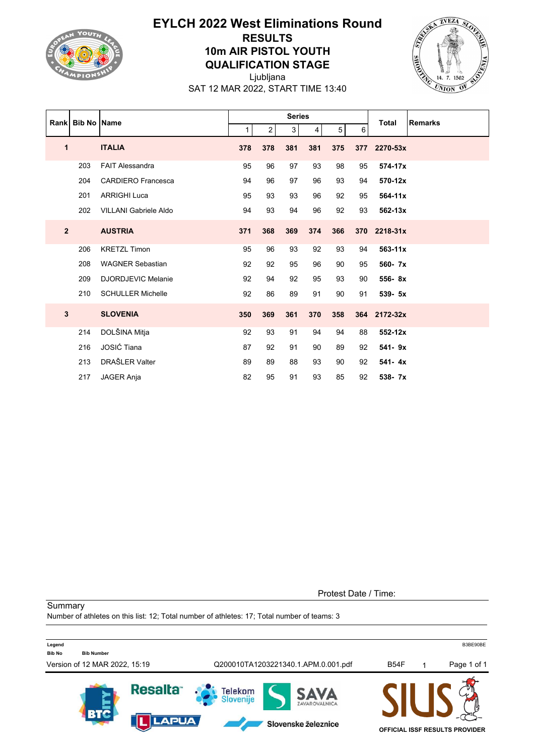

## **EYLCH 2022 West Eliminations Round RESULTS 10m AIR PISTOL YOUTH QUALIFICATION STAGE**





SAT 12 MAR 2022, START TIME 13:40

|              |     | Rank Bib No Name             | <b>Series</b> |                |                |                |                |        | <b>Total</b> | <b>Remarks</b> |
|--------------|-----|------------------------------|---------------|----------------|----------------|----------------|----------------|--------|--------------|----------------|
|              |     |                              | 1             | $\overline{2}$ | 3 <sup>1</sup> | 4 <sup>1</sup> | 5 <sup>1</sup> | $6 \,$ |              |                |
| 1            |     | <b>ITALIA</b>                | 378           | 378            | 381            | 381            | 375            | 377    | 2270-53x     |                |
|              | 203 | <b>FAIT Alessandra</b>       | 95            | 96             | 97             | 93             | 98             | 95     | 574-17x      |                |
|              | 204 | <b>CARDIERO Francesca</b>    | 94            | 96             | 97             | 96             | 93             | 94     | 570-12x      |                |
|              | 201 | <b>ARRIGHI Luca</b>          | 95            | 93             | 93             | 96             | 92             | 95     | 564-11x      |                |
|              | 202 | <b>VILLANI Gabriele Aldo</b> | 94            | 93             | 94             | 96             | 92             | 93     | $562 - 13x$  |                |
| $\mathbf{2}$ |     | <b>AUSTRIA</b>               | 371           | 368            | 369            | 374            | 366            | 370    | 2218-31x     |                |
|              | 206 | <b>KRETZL Timon</b>          | 95            | 96             | 93             | 92             | 93             | 94     | $563 - 11x$  |                |
|              | 208 | <b>WAGNER Sebastian</b>      | 92            | 92             | 95             | 96             | 90             | 95     | 560- 7x      |                |
|              | 209 | <b>DJORDJEVIC Melanie</b>    | 92            | 94             | 92             | 95             | 93             | 90     | 556-8x       |                |
|              | 210 | <b>SCHULLER Michelle</b>     | 92            | 86             | 89             | 91             | 90             | 91     | 539- 5x      |                |
| $\mathbf{3}$ |     | <b>SLOVENIA</b>              | 350           | 369            | 361            | 370            | 358            |        | 364 2172-32x |                |
|              | 214 | DOLŠINA Mitja                | 92            | 93             | 91             | 94             | 94             | 88     | 552-12x      |                |
|              | 216 | JOSIĆ Tiana                  | 87            | 92             | 91             | 90             | 89             | 92     | 541-9x       |                |
|              | 213 | DRAŠLER Valter               | 89            | 89             | 88             | 93             | 90             | 92     | $541 - 4x$   |                |
|              | 217 | JAGER Anja                   | 82            | 95             | 91             | 93             | 85             | 92     | 538-7x       |                |

Protest Date / Time:

**Summary** 

Number of athletes on this list: 12; Total number of athletes: 17; Total number of teams: 3

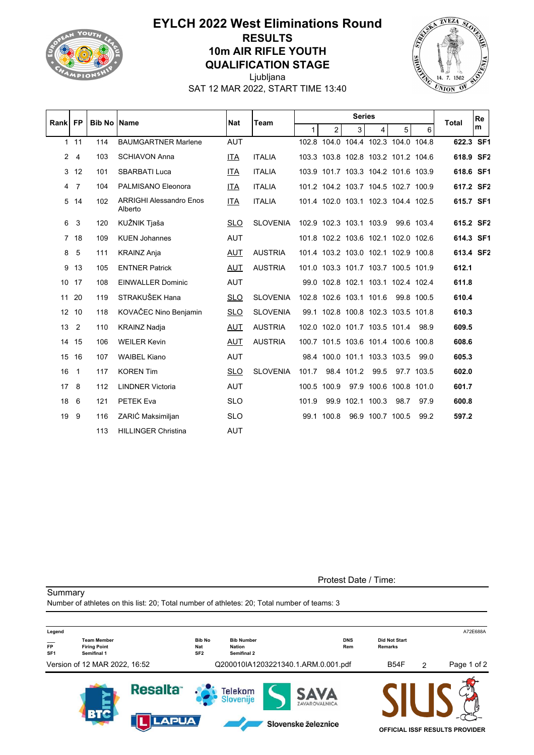

## **EYLCH 2022 West Eliminations Round RESULTS 10m AIR RIFLE YOUTH QUALIFICATION STAGE**



Ljubljana SAT 12 MAR 2022, START TIME 13:40

|    | Rank FP         | <b>Bib No IName</b> |                                           | <b>Nat</b><br>Team |                 |       |                |                  | <b>Total</b>                        | <b>Re</b>      |            |           |   |
|----|-----------------|---------------------|-------------------------------------------|--------------------|-----------------|-------|----------------|------------------|-------------------------------------|----------------|------------|-----------|---|
|    |                 |                     |                                           |                    |                 | 1.    | $\overline{2}$ | 3                | 4                                   | 5 <sup>1</sup> | 6          |           | m |
|    | 111             | 114                 | <b>BAUMGARTNER Marlene</b>                | <b>AUT</b>         |                 |       |                |                  | 102.8 104.0 104.4 102.3 104.0 104.8 |                |            | 622.3 SF1 |   |
|    | $2 \quad 4$     | 103                 | <b>SCHIAVON Anna</b>                      | ITA                | <b>ITALIA</b>   |       |                |                  | 103.3 103.8 102.8 103.2 101.2 104.6 |                |            | 618.9 SF2 |   |
|    | 3 <sub>12</sub> | 101                 | <b>SBARBATI Luca</b>                      | ITA                | <b>ITALIA</b>   |       |                |                  | 103.9 101.7 103.3 104.2 101.6 103.9 |                |            | 618.6 SF1 |   |
|    | 4 7             | 104                 | PALMISANO Eleonora                        | ITA                | <b>ITALIA</b>   |       |                |                  | 101.2 104.2 103.7 104.5 102.7 100.9 |                |            | 617.2 SF2 |   |
|    | 5 14            | 102                 | <b>ARRIGHI Alessandro Enos</b><br>Alberto | ITA                | <b>ITALIA</b>   |       |                |                  | 101.4 102.0 103.1 102.3 104.4 102.5 |                |            | 615.7 SF1 |   |
| 6  | 3               | 120                 | KUŽNIK Tjaša                              | SLO.               | <b>SLOVENIA</b> |       |                |                  | 102.9 102.3 103.1 103.9 99.6 103.4  |                |            | 615.2 SF2 |   |
|    | 7 18            | 109                 | <b>KUEN Johannes</b>                      | <b>AUT</b>         |                 |       |                |                  | 101.8 102.2 103.6 102.1 102.0 102.6 |                |            | 614.3 SF1 |   |
| 8  | -5              | 111                 | <b>KRAINZ Anja</b>                        | AUT                | <b>AUSTRIA</b>  |       |                |                  | 101.4 103.2 103.0 102.1 102.9 100.8 |                |            | 613.4 SF2 |   |
| 9  | 13              | 105                 | <b>ENTNER Patrick</b>                     | AUT                | <b>AUSTRIA</b>  |       |                |                  | 101.0 103.3 101.7 103.7 100.5 101.9 |                |            | 612.1     |   |
|    | 10 17           | 108                 | <b>EINWALLER Dominic</b>                  | <b>AUT</b>         |                 |       |                |                  | 99.0 102.8 102.1 103.1 102.4 102.4  |                |            | 611.8     |   |
| 11 | 20              | 119                 | STRAKUŠEK Hana                            | <b>SLO</b>         | <b>SLOVENIA</b> |       |                |                  | 102.8 102.6 103.1 101.6             |                | 99.8 100.5 | 610.4     |   |
|    | 12 10           | 118                 | KOVAČEC Nino Benjamin                     | <b>SLO</b>         | <b>SLOVENIA</b> |       |                |                  | 99.1 102.8 100.8 102.3 103.5 101.8  |                |            | 610.3     |   |
| 13 | $\overline{2}$  | 110                 | <b>KRAINZ Nadja</b>                       | AUT                | <b>AUSTRIA</b>  |       |                |                  | 102.0 102.0 101.7 103.5 101.4       |                | 98.9       | 609.5     |   |
|    | 14 15           | 106                 | <b>WEILER Kevin</b>                       | <b>AUT</b>         | <b>AUSTRIA</b>  |       |                |                  | 100.7 101.5 103.6 101.4 100.6 100.8 |                |            | 608.6     |   |
|    | 15 16           | 107                 | <b>WAIBEL Kiano</b>                       | <b>AUT</b>         |                 |       |                |                  | 98.4 100.0 101.1 103.3 103.5        |                | 99.0       | 605.3     |   |
| 16 | $\overline{1}$  | 117                 | <b>KOREN Tim</b>                          | <b>SLO</b>         | <b>SLOVENIA</b> | 101.7 |                | 98.4 101.2       | 99.5                                |                | 97.7 103.5 | 602.0     |   |
|    | 17 <sub>8</sub> | 112                 | <b>LINDNER Victoria</b>                   | <b>AUT</b>         |                 |       | 100.5 100.9    |                  | 97.9 100.6 100.8 101.0              |                |            | 601.7     |   |
| 18 | 6               | 121                 | PETEK Eva                                 | <b>SLO</b>         |                 | 101.9 |                | 99.9 102.1 100.3 |                                     | 98.7           | 97.9       | 600.8     |   |
| 19 | 9               | 116                 | ZARIĆ Maksimiljan                         | <b>SLO</b>         |                 |       | 99.1 100.8     |                  | 96.9 100.7 100.5                    |                | 99.2       | 597.2     |   |
|    |                 | 113                 | <b>HILLINGER Christina</b>                | <b>AUT</b>         |                 |       |                |                  |                                     |                |            |           |   |

**Summary** 

Protest Date / Time:

Number of athletes on this list: 20; Total number of athletes: 20; Total number of teams: 3